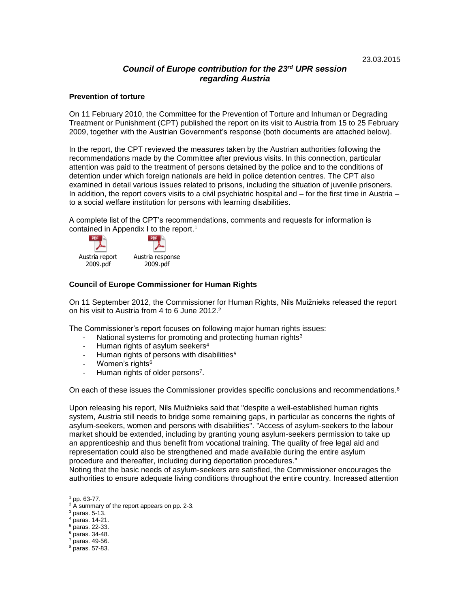# *Council of Europe contribution for the 23 rd UPR session regarding Austria*

#### **Prevention of torture**

On 11 February 2010, the Committee for the Prevention of Torture and Inhuman or Degrading Treatment or Punishment (CPT) published the report on its visit to Austria from 15 to 25 February 2009, together with the Austrian Government's response (both documents are attached below).

In the report, the CPT reviewed the measures taken by the Austrian authorities following the recommendations made by the Committee after previous visits. In this connection, particular attention was paid to the treatment of persons detained by the police and to the conditions of detention under which foreign nationals are held in police detention centres. The CPT also examined in detail various issues related to prisons, including the situation of juvenile prisoners. In addition, the report covers visits to a civil psychiatric hospital and – for the first time in Austria – to a social welfare institution for persons with learning disabilities.

A complete list of the CPT's recommendations, comments and requests for information is contained in Appendix I to the report. 1



#### **Council of Europe Commissioner for Human Rights**

On 11 September 2012, the Commissioner for Human Rights, Nils Muižnieks released the report on his visit to Austria from 4 to 6 June 2012.<sup>2</sup>

The Commissioner's report focuses on following major human rights issues:

- National systems for promoting and protecting human rights<sup>3</sup>
- Human rights of asylum seekers<sup>4</sup>
- Human rights of persons with disabilities<sup>5</sup>
- Women's rights<sup>6</sup>
- Human rights of older persons<sup>7</sup>.

On each of these issues the Commissioner provides specific conclusions and recommendations.<sup>8</sup>

Upon releasing his report, Nils Muižnieks said that "despite a well-established human rights system, Austria still needs to bridge some remaining gaps, in particular as concerns the rights of asylum-seekers, women and persons with disabilities". "Access of asylum-seekers to the labour market should be extended, including by granting young asylum-seekers permission to take up an apprenticeship and thus benefit from vocational training. The quality of free legal aid and representation could also be strengthened and made available during the entire asylum procedure and thereafter, including during deportation procedures."

Noting that the basic needs of asylum-seekers are satisfied, the Commissioner encourages the authorities to ensure adequate living conditions throughout the entire country. Increased attention

 $1$  pp. 63-77.

 $2 \overline{A}$  summary of the report appears on pp. 2-3.

<sup>3</sup> paras. 5-13.

<sup>4</sup> paras. 14-21.

<sup>5</sup> paras. 22-33.

 $6$  paras. 34-48.

 $7$  paras. 49-56.

 $8$  paras. 57-83.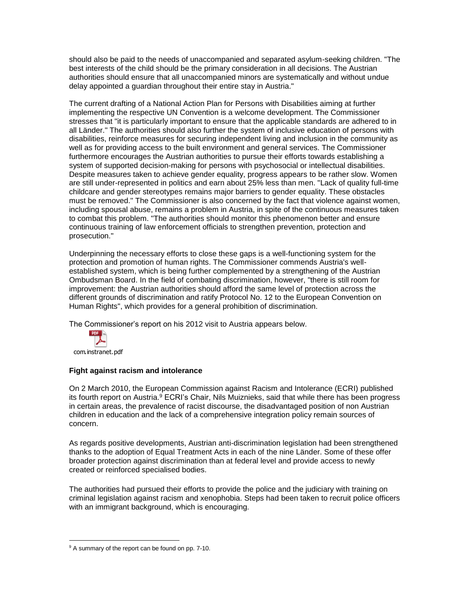should also be paid to the needs of unaccompanied and separated asylum-seeking children. "The best interests of the child should be the primary consideration in all decisions. The Austrian authorities should ensure that all unaccompanied minors are systematically and without undue delay appointed a guardian throughout their entire stay in Austria."

The current drafting of a National Action Plan for Persons with Disabilities aiming at further implementing the respective UN Convention is a welcome development. The Commissioner stresses that "it is particularly important to ensure that the applicable standards are adhered to in all Länder." The authorities should also further the system of inclusive education of persons with disabilities, reinforce measures for securing independent living and inclusion in the community as well as for providing access to the built environment and general services. The Commissioner furthermore encourages the Austrian authorities to pursue their efforts towards establishing a system of supported decision-making for persons with psychosocial or intellectual disabilities. Despite measures taken to achieve gender equality, progress appears to be rather slow. Women are still under-represented in politics and earn about 25% less than men. "Lack of quality full-time childcare and gender stereotypes remains major barriers to gender equality. These obstacles must be removed." The Commissioner is also concerned by the fact that violence against women, including spousal abuse, remains a problem in Austria, in spite of the continuous measures taken to combat this problem. "The authorities should monitor this phenomenon better and ensure continuous training of law enforcement officials to strengthen prevention, protection and prosecution."

Underpinning the necessary efforts to close these gaps is a well-functioning system for the protection and promotion of human rights. The Commissioner commends Austria's wellestablished system, which is being further complemented by a strengthening of the Austrian Ombudsman Board. In the field of combating discrimination, however, "there is still room for improvement: the Austrian authorities should afford the same level of protection across the different grounds of discrimination and ratify Protocol No. 12 to the European Convention on Human Rights", which provides for a general prohibition of discrimination.

The Commissioner's report on his 2012 visit to Austria appears below.



com.instranet.pdf

 $\overline{a}$ 

### **Fight against racism and intolerance**

On 2 March 2010, the European Commission against Racism and Intolerance (ECRI) published its fourth report on Austria.<sup>9</sup> ECRI's Chair, Nils Muiznieks, said that while there has been progress in certain areas, the prevalence of racist discourse, the disadvantaged position of non Austrian children in education and the lack of a comprehensive integration policy remain sources of concern.

As regards positive developments, Austrian anti-discrimination legislation had been strengthened thanks to the adoption of Equal Treatment Acts in each of the nine Länder. Some of these offer broader protection against discrimination than at federal level and provide access to newly created or reinforced specialised bodies.

The authorities had pursued their efforts to provide the police and the judiciary with training on criminal legislation against racism and xenophobia. Steps had been taken to recruit police officers with an immigrant background, which is encouraging.

<sup>&</sup>lt;sup>9</sup> A summary of the report can be found on pp. 7-10.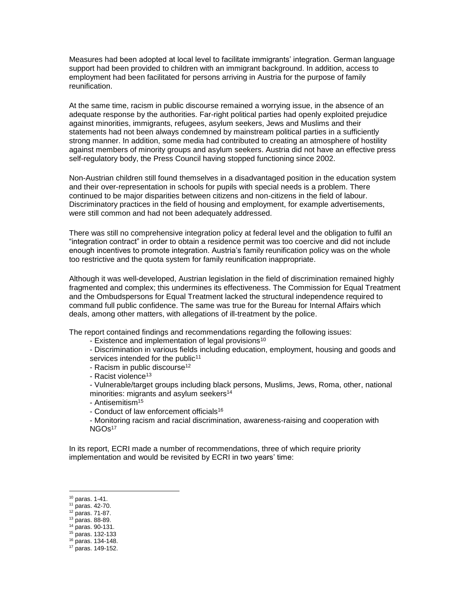Measures had been adopted at local level to facilitate immigrants' integration. German language support had been provided to children with an immigrant background. In addition, access to employment had been facilitated for persons arriving in Austria for the purpose of family reunification.

At the same time, racism in public discourse remained a worrying issue, in the absence of an adequate response by the authorities. Far-right political parties had openly exploited prejudice against minorities, immigrants, refugees, asylum seekers, Jews and Muslims and their statements had not been always condemned by mainstream political parties in a sufficiently strong manner. In addition, some media had contributed to creating an atmosphere of hostility against members of minority groups and asylum seekers. Austria did not have an effective press self-regulatory body, the Press Council having stopped functioning since 2002.

Non-Austrian children still found themselves in a disadvantaged position in the education system and their over-representation in schools for pupils with special needs is a problem. There continued to be major disparities between citizens and non-citizens in the field of labour. Discriminatory practices in the field of housing and employment, for example advertisements, were still common and had not been adequately addressed.

There was still no comprehensive integration policy at federal level and the obligation to fulfil an "integration contract" in order to obtain a residence permit was too coercive and did not include enough incentives to promote integration. Austria's family reunification policy was on the whole too restrictive and the quota system for family reunification inappropriate.

Although it was well-developed, Austrian legislation in the field of discrimination remained highly fragmented and complex; this undermines its effectiveness. The Commission for Equal Treatment and the Ombudspersons for Equal Treatment lacked the structural independence required to command full public confidence. The same was true for the Bureau for Internal Affairs which deals, among other matters, with allegations of ill-treatment by the police.

The report contained findings and recommendations regarding the following issues:

- Existence and implementation of legal provisions<sup>10</sup>
- Discrimination in various fields including education, employment, housing and goods and services intended for the public<sup>11</sup>
- Racism in public discourse<sup>12</sup>
- Racist violence<sup>13</sup>
- Vulnerable/target groups including black persons, Muslims, Jews, Roma, other, national minorities: migrants and asylum seekers<sup>14</sup>
- Antisemitism<sup>15</sup>
- Conduct of law enforcement officials<sup>16</sup>
- Monitoring racism and racial discrimination, awareness-raising and cooperation with NGO<sub>s17</sub>

In its report, ECRI made a number of recommendations, three of which require priority implementation and would be revisited by ECRI in two years' time:

<sup>10</sup> paras. 1-41.

<sup>11</sup> paras. 42-70.

<sup>12</sup> paras. 71-87.

 $13$  paras. 88-89.

<sup>14</sup> paras. 90-131.

<sup>15</sup> paras. 132-133

<sup>16</sup> paras. 134-148.

<sup>17</sup> paras. 149-152.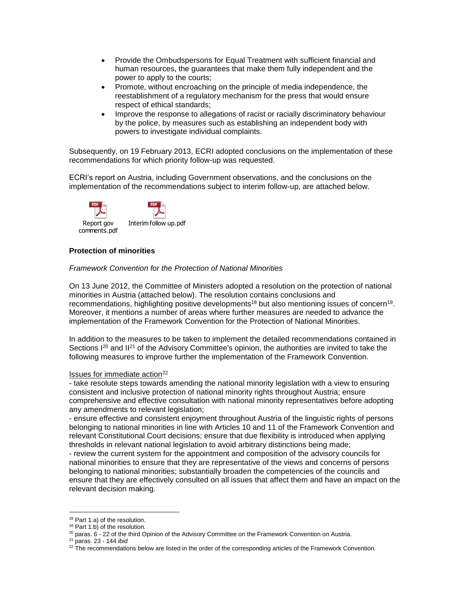- Provide the Ombudspersons for Equal Treatment with sufficient financial and human resources, the guarantees that make them fully independent and the power to apply to the courts;
- Promote, without encroaching on the principle of media independence, the reestablishment of a regulatory mechanism for the press that would ensure respect of ethical standards;
- Improve the response to allegations of racist or racially discriminatory behaviour by the police, by measures such as establishing an independent body with powers to investigate individual complaints.

Subsequently, on 19 February 2013, ECRI adopted conclusions on the implementation of these recommendations for which priority follow-up was requested.

ECRI's report on Austria, including Government observations, and the conclusions on the implementation of the recommendations subject to interim follow-up, are attached below.



# **Protection of minorities**

#### *Framework Convention for the Protection of National Minorities*

On 13 June 2012, the Committee of Ministers adopted a resolution on the protection of national minorities in Austria (attached below). The resolution contains conclusions and recommendations, highlighting positive developments<sup>18</sup> but also mentioning issues of concern<sup>19</sup>. Moreover, it mentions a number of areas where further measures are needed to advance the implementation of the Framework Convention for the Protection of National Minorities.

In addition to the measures to be taken to implement the detailed recommendations contained in Sections  $I^{20}$  and  $II^{21}$  of the Advisory Committee's opinion, the authorities are invited to take the following measures to improve further the implementation of the Framework Convention.

### Issues for immediate action<sup>22</sup>

- take resolute steps towards amending the national minority legislation with a view to ensuring consistent and inclusive protection of national minority rights throughout Austria; ensure comprehensive and effective consultation with national minority representatives before adopting any amendments to relevant legislation;

- ensure effective and consistent enjoyment throughout Austria of the linguistic rights of persons belonging to national minorities in line with Articles 10 and 11 of the Framework Convention and relevant Constitutional Court decisions; ensure that due flexibility is introduced when applying thresholds in relevant national legislation to avoid arbitrary distinctions being made;

- review the current system for the appointment and composition of the advisory councils for national minorities to ensure that they are representative of the views and concerns of persons belonging to national minorities; substantially broaden the competencies of the councils and ensure that they are effectively consulted on all issues that affect them and have an impact on the relevant decision making.

<sup>&</sup>lt;sup>18</sup> Part 1.a) of the resolution.

 $19$  Part 1.b) of the resolution.

 $20$  paras.  $6 - 22$  of the third Opinion of the Advisory Committee on the Framework Convention on Austria.

<sup>21</sup> paras. 23 - 144 *ibid*

 $22$  The recommendations below are listed in the order of the corresponding articles of the Framework Convention.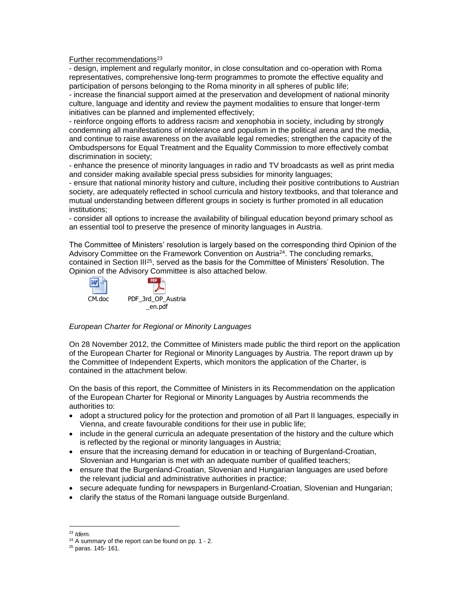Further recommendations<sup>23</sup>

- design, implement and regularly monitor, in close consultation and co-operation with Roma representatives, comprehensive long-term programmes to promote the effective equality and participation of persons belonging to the Roma minority in all spheres of public life;

- increase the financial support aimed at the preservation and development of national minority culture, language and identity and review the payment modalities to ensure that longer-term initiatives can be planned and implemented effectively;

- reinforce ongoing efforts to address racism and xenophobia in society, including by strongly condemning all manifestations of intolerance and populism in the political arena and the media, and continue to raise awareness on the available legal remedies; strengthen the capacity of the Ombudspersons for Equal Treatment and the Equality Commission to more effectively combat discrimination in society;

- enhance the presence of minority languages in radio and TV broadcasts as well as print media and consider making available special press subsidies for minority languages;

- ensure that national minority history and culture, including their positive contributions to Austrian society, are adequately reflected in school curricula and history textbooks, and that tolerance and mutual understanding between different groups in society is further promoted in all education institutions;

- consider all options to increase the availability of bilingual education beyond primary school as an essential tool to preserve the presence of minority languages in Austria.

The Committee of Ministers' resolution is largely based on the corresponding third Opinion of the Advisory Committee on the Framework Convention on Austria<sup>24</sup>. The concluding remarks, contained in Section III<sup>25</sup>, served as the basis for the Committee of Ministers' Resolution. The Opinion of the Advisory Committee is also attached below.



### *European Charter for Regional or Minority Languages*

On 28 November 2012, the Committee of Ministers made public the third report on the application of the European Charter for Regional or Minority Languages by Austria. The report drawn up by the Committee of Independent Experts, which monitors the application of the Charter, is contained in the attachment below.

On the basis of this report, the Committee of Ministers in its Recommendation on the application of the European Charter for Regional or Minority Languages by Austria recommends the authorities to:

- adopt a structured policy for the protection and promotion of all Part II languages, especially in Vienna, and create favourable conditions for their use in public life;
- include in the general curricula an adequate presentation of the history and the culture which is reflected by the regional or minority languages in Austria;
- ensure that the increasing demand for education in or teaching of Burgenland-Croatian, Slovenian and Hungarian is met with an adequate number of qualified teachers;
- ensure that the Burgenland-Croatian, Slovenian and Hungarian languages are used before the relevant judicial and administrative authorities in practice;
- secure adequate funding for newspapers in Burgenland-Croatian, Slovenian and Hungarian;
- clarify the status of the Romani language outside Burgenland.

<sup>23</sup> *Idem.*

 $24$  A summary of the report can be found on pp. 1 - 2.

<sup>25</sup> paras. 145- 161.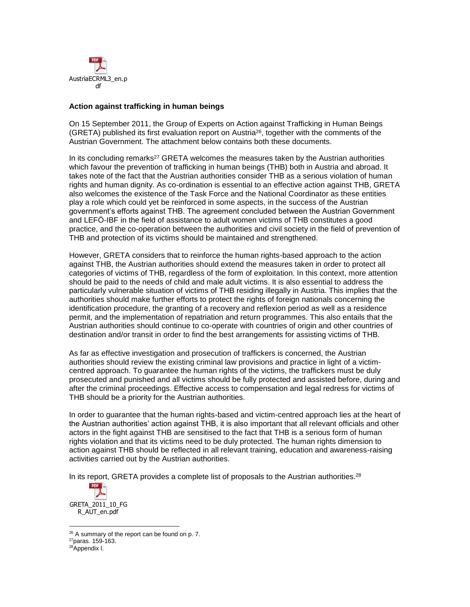

#### **Action against trafficking in human beings**

On 15 September 2011, the Group of Experts on Action against Trafficking in Human Beings (GRETA) published its first evaluation report on Austria<sup>26</sup>, together with the comments of the Austrian Government. The attachment below contains both these documents.

In its concluding remarks<sup>27</sup> GRETA welcomes the measures taken by the Austrian authorities which favour the prevention of trafficking in human beings (THB) both in Austria and abroad. It takes note of the fact that the Austrian authorities consider THB as a serious violation of human rights and human dignity. As co-ordination is essential to an effective action against THB, GRETA also welcomes the existence of the Task Force and the National Coordinator as these entities play a role which could yet be reinforced in some aspects, in the success of the Austrian government's efforts against THB. The agreement concluded between the Austrian Government and LEFÖ-IBF in the field of assistance to adult women victims of THB constitutes a good practice, and the co-operation between the authorities and civil society in the field of prevention of THB and protection of its victims should be maintained and strengthened.

However, GRETA considers that to reinforce the human rights-based approach to the action against THB, the Austrian authorities should extend the measures taken in order to protect all categories of victims of THB, regardless of the form of exploitation. In this context, more attention should be paid to the needs of child and male adult victims. It is also essential to address the particularly vulnerable situation of victims of THB residing illegally in Austria. This implies that the authorities should make further efforts to protect the rights of foreign nationals concerning the identification procedure, the granting of a recovery and reflexion period as well as a residence permit, and the implementation of repatriation and return programmes. This also entails that the Austrian authorities should continue to co-operate with countries of origin and other countries of destination and/or transit in order to find the best arrangements for assisting victims of THB.

As far as effective investigation and prosecution of traffickers is concerned, the Austrian authorities should review the existing criminal law provisions and practice in light of a victimcentred approach. To guarantee the human rights of the victims, the traffickers must be duly prosecuted and punished and all victims should be fully protected and assisted before, during and after the criminal proceedings. Effective access to compensation and legal redress for victims of THB should be a priority for the Austrian authorities.

In order to guarantee that the human rights-based and victim-centred approach lies at the heart of the Austrian authorities' action against THB, it is also important that all relevant officials and other actors in the fight against THB are sensitised to the fact that THB is a serious form of human rights violation and that its victims need to be duly protected. The human rights dimension to action against THB should be reflected in all relevant training, education and awareness-raising activities carried out by the Austrian authorities.

In its report, GRETA provides a complete list of proposals to the Austrian authorities.<sup>28</sup>



 $\overline{a}$ <sup>26</sup> A summary of the report can be found on p. 7.

<sup>27</sup>paras. 159-163.

<sup>28</sup>Appendix I.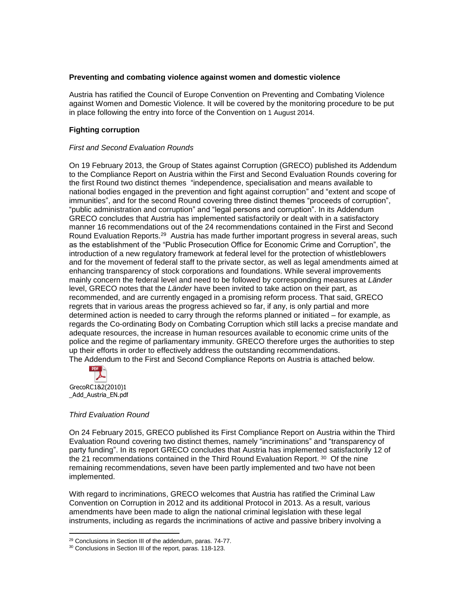### **Preventing and combating violence against women and domestic violence**

Austria has ratified the Council of Europe Convention on Preventing and Combating Violence against Women and Domestic Violence. It will be covered by the monitoring procedure to be put in place following the entry into force of the Convention on 1 August 2014.

### **Fighting corruption**

## *First and Second Evaluation Rounds*

On 19 February 2013, the Group of States against Corruption (GRECO) published its Addendum to the Compliance Report on Austria within the First and Second Evaluation Rounds covering for the first Round two distinct themes "independence, specialisation and means available to national bodies engaged in the prevention and fight against corruption" and "extent and scope of immunities", and for the second Round covering three distinct themes "proceeds of corruption", "public administration and corruption" and "legal persons and corruption". In its Addendum GRECO concludes that Austria has implemented satisfactorily or dealt with in a satisfactory manner 16 recommendations out of the 24 recommendations contained in the First and Second Round Evaluation Reports.<sup>29</sup> Austria has made further important progress in several areas, such as the establishment of the "Public Prosecution Office for Economic Crime and Corruption", the introduction of a new regulatory framework at federal level for the protection of whistleblowers and for the movement of federal staff to the private sector, as well as legal amendments aimed at enhancing transparency of stock corporations and foundations. While several improvements mainly concern the federal level and need to be followed by corresponding measures at *Länder*  level, GRECO notes that the *Länder* have been invited to take action on their part, as recommended, and are currently engaged in a promising reform process. That said, GRECO regrets that in various areas the progress achieved so far, if any, is only partial and more determined action is needed to carry through the reforms planned or initiated – for example, as regards the Co-ordinating Body on Combating Corruption which still lacks a precise mandate and adequate resources, the increase in human resources available to economic crime units of the police and the regime of parliamentary immunity. GRECO therefore urges the authorities to step up their efforts in order to effectively address the outstanding recommendations. The Addendum to the First and Second Compliance Reports on Austria is attached below.



 $\overline{a}$ 

### *Third Evaluation Round*

On 24 February 2015, GRECO published its First Compliance Report on Austria within the Third Evaluation Round covering two distinct themes, namely "incriminations" and "transparency of party funding". In its report GRECO concludes that Austria has implemented satisfactorily 12 of the 21 recommendations contained in the Third Round Evaluation Report. 30 Of the nine remaining recommendations, seven have been partly implemented and two have not been implemented.

With regard to incriminations, GRECO welcomes that Austria has ratified the Criminal Law Convention on Corruption in 2012 and its additional Protocol in 2013. As a result, various amendments have been made to align the national criminal legislation with these legal instruments, including as regards the incriminations of active and passive bribery involving a

<sup>29</sup> Conclusions in Section III of the addendum, paras. 74-77.

<sup>&</sup>lt;sup>30</sup> Conclusions in Section III of the report, paras. 118-123.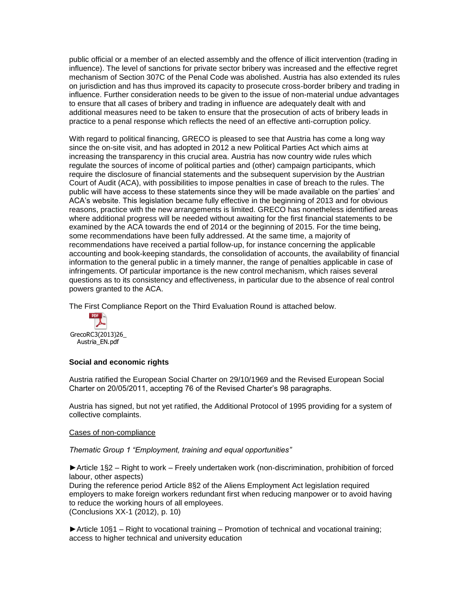public official or a member of an elected assembly and the offence of illicit intervention (trading in influence). The level of sanctions for private sector bribery was increased and the effective regret mechanism of Section 307C of the Penal Code was abolished. Austria has also extended its rules on jurisdiction and has thus improved its capacity to prosecute cross-border bribery and trading in influence. Further consideration needs to be given to the issue of non-material undue advantages to ensure that all cases of bribery and trading in influence are adequately dealt with and additional measures need to be taken to ensure that the prosecution of acts of bribery leads in practice to a penal response which reflects the need of an effective anti-corruption policy.

With regard to political financing, GRECO is pleased to see that Austria has come a long way since the on-site visit, and has adopted in 2012 a new Political Parties Act which aims at increasing the transparency in this crucial area. Austria has now country wide rules which regulate the sources of income of political parties and (other) campaign participants, which require the disclosure of financial statements and the subsequent supervision by the Austrian Court of Audit (ACA), with possibilities to impose penalties in case of breach to the rules. The public will have access to these statements since they will be made available on the parties' and ACA's website. This legislation became fully effective in the beginning of 2013 and for obvious reasons, practice with the new arrangements is limited. GRECO has nonetheless identified areas where additional progress will be needed without awaiting for the first financial statements to be examined by the ACA towards the end of 2014 or the beginning of 2015. For the time being, some recommendations have been fully addressed. At the same time, a majority of recommendations have received a partial follow-up, for instance concerning the applicable accounting and book-keeping standards, the consolidation of accounts, the availability of financial information to the general public in a timely manner, the range of penalties applicable in case of infringements. Of particular importance is the new control mechanism, which raises several questions as to its consistency and effectiveness, in particular due to the absence of real control powers granted to the ACA.

The First Compliance Report on the Third Evaluation Round is attached below.



### **Social and economic rights**

Austria ratified the European Social Charter on 29/10/1969 and the Revised European Social Charter on 20/05/2011, accepting 76 of the Revised Charter's 98 paragraphs.

Austria has signed, but not yet ratified, the Additional Protocol of 1995 providing for a system of collective complaints.

### Cases of non-compliance

*Thematic Group 1 "Employment, training and equal opportunities"* 

*►*Article 1§2 – Right to work – Freely undertaken work (non-discrimination, prohibition of forced labour, other aspects) During the reference period Article 8§2 of the Aliens Employment Act legislation required employers to make foreign workers redundant first when reducing manpower or to avoid having to reduce the working hours of all employees. (Conclusions XX-1 (2012), p. 10)

*►*Article 10§1 – Right to vocational training – Promotion of technical and vocational training; access to higher technical and university education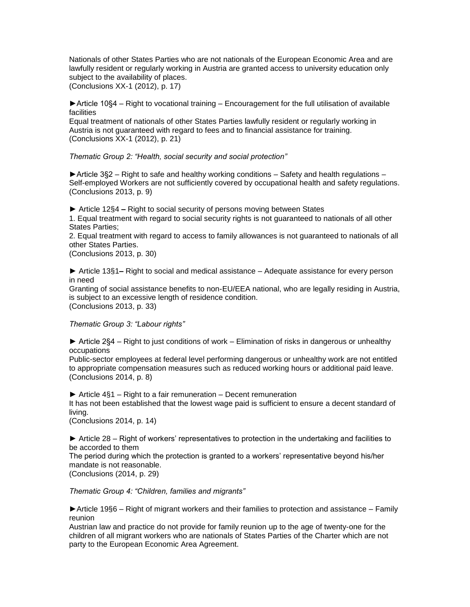Nationals of other States Parties who are not nationals of the European Economic Area and are lawfully resident or regularly working in Austria are granted access to university education only subject to the availability of places. (Conclusions XX-1 (2012), p. 17)

►Article 10§4 – Right to vocational training – Encouragement for the full utilisation of available facilities

Equal treatment of nationals of other States Parties lawfully resident or regularly working in Austria is not guaranteed with regard to fees and to financial assistance for training. (Conclusions XX-1 (2012), p. 21)

*Thematic Group 2: "Health, social security and social protection"* 

 $\blacktriangleright$  Article 3§2 – Right to safe and healthy working conditions – Safety and health regulations – Self-employed Workers are not sufficiently covered by occupational health and safety regulations. (Conclusions 2013, p. 9)

**►** Article 12§4 **–** Right to social security of persons moving between States

1. Equal treatment with regard to social security rights is not guaranteed to nationals of all other States Parties;

2. Equal treatment with regard to access to family allowances is not guaranteed to nationals of all other States Parties.

(Conclusions 2013, p. 30)

**►** Article 13§1**–** Right to social and medical assistance – Adequate assistance for every person in need

Granting of social assistance benefits to non-EU/EEA national, who are legally residing in Austria, is subject to an excessive length of residence condition. (Conclusions 2013, p. 33)

*Thematic Group 3: "Labour rights"* 

► Article 2§4 – Right to just conditions of work – Elimination of risks in dangerous or unhealthy occupations

Public-sector employees at federal level performing dangerous or unhealthy work are not entitled to appropriate compensation measures such as reduced working hours or additional paid leave. (Conclusions 2014, p. 8)

*►* Article 4§1 – Right to a fair remuneration – Decent remuneration It has not been established that the lowest wage paid is sufficient to ensure a decent standard of living.

(Conclusions 2014, p. 14)

*►* Article 28 – Right of workers' representatives to protection in the undertaking and facilities to be accorded to them

The period during which the protection is granted to a workers' representative beyond his/her mandate is not reasonable.

(Conclusions (2014, p. 29)

*Thematic Group 4: "Children, families and migrants"* 

*►*Article 19§6 – Right of migrant workers and their families to protection and assistance – Family reunion

Austrian law and practice do not provide for family reunion up to the age of twenty-one for the children of all migrant workers who are nationals of States Parties of the Charter which are not party to the European Economic Area Agreement.